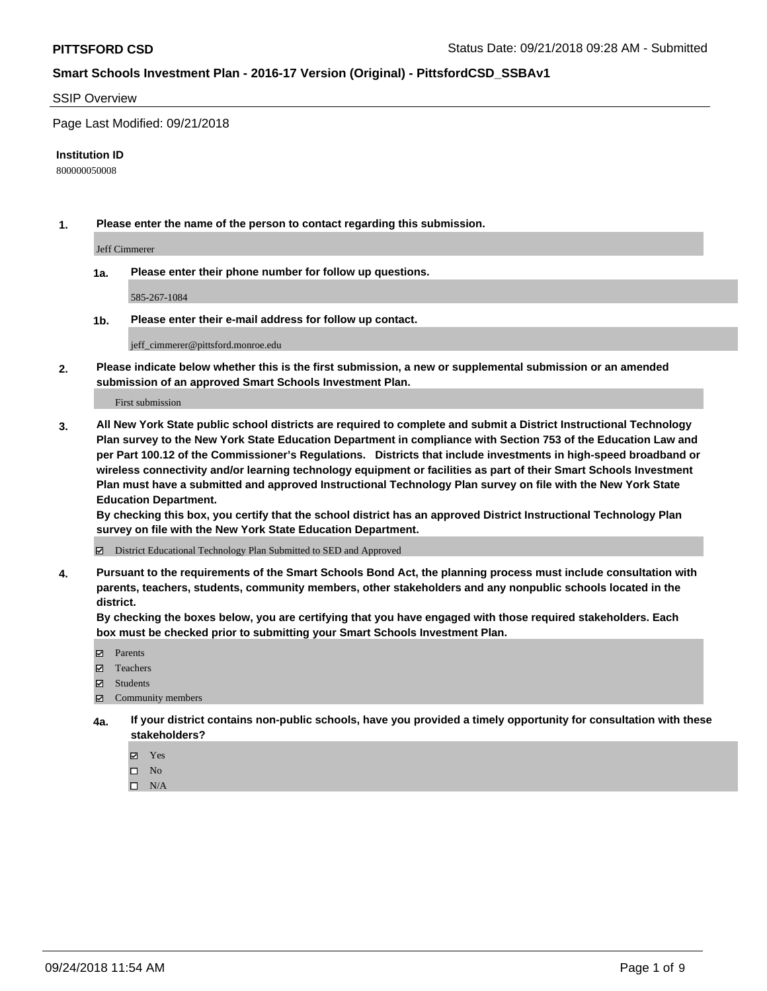#### SSIP Overview

Page Last Modified: 09/21/2018

#### **Institution ID**

800000050008

**1. Please enter the name of the person to contact regarding this submission.**

Jeff Cimmerer

**1a. Please enter their phone number for follow up questions.**

585-267-1084

**1b. Please enter their e-mail address for follow up contact.**

jeff\_cimmerer@pittsford.monroe.edu

**2. Please indicate below whether this is the first submission, a new or supplemental submission or an amended submission of an approved Smart Schools Investment Plan.**

First submission

**3. All New York State public school districts are required to complete and submit a District Instructional Technology Plan survey to the New York State Education Department in compliance with Section 753 of the Education Law and per Part 100.12 of the Commissioner's Regulations. Districts that include investments in high-speed broadband or wireless connectivity and/or learning technology equipment or facilities as part of their Smart Schools Investment Plan must have a submitted and approved Instructional Technology Plan survey on file with the New York State Education Department.** 

**By checking this box, you certify that the school district has an approved District Instructional Technology Plan survey on file with the New York State Education Department.**

District Educational Technology Plan Submitted to SED and Approved

**4. Pursuant to the requirements of the Smart Schools Bond Act, the planning process must include consultation with parents, teachers, students, community members, other stakeholders and any nonpublic schools located in the district.** 

**By checking the boxes below, you are certifying that you have engaged with those required stakeholders. Each box must be checked prior to submitting your Smart Schools Investment Plan.**

- **□** Parents
- Teachers
- Students
- $\boxtimes$  Community members
- **4a. If your district contains non-public schools, have you provided a timely opportunity for consultation with these stakeholders?**
	- Yes
	- $\qquad \qquad$  No
	- $\square$  N/A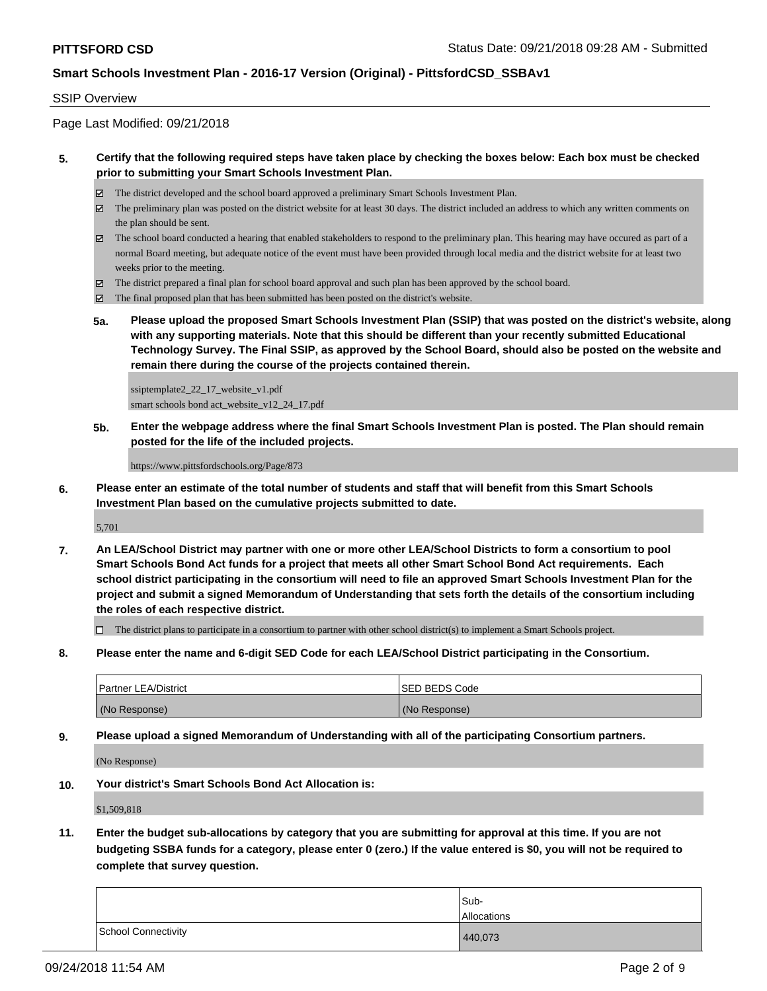#### SSIP Overview

Page Last Modified: 09/21/2018

#### **5. Certify that the following required steps have taken place by checking the boxes below: Each box must be checked prior to submitting your Smart Schools Investment Plan.**

- The district developed and the school board approved a preliminary Smart Schools Investment Plan.
- $\boxtimes$  The preliminary plan was posted on the district website for at least 30 days. The district included an address to which any written comments on the plan should be sent.
- $\boxtimes$  The school board conducted a hearing that enabled stakeholders to respond to the preliminary plan. This hearing may have occured as part of a normal Board meeting, but adequate notice of the event must have been provided through local media and the district website for at least two weeks prior to the meeting.
- The district prepared a final plan for school board approval and such plan has been approved by the school board.
- $\boxtimes$  The final proposed plan that has been submitted has been posted on the district's website.
- **5a. Please upload the proposed Smart Schools Investment Plan (SSIP) that was posted on the district's website, along with any supporting materials. Note that this should be different than your recently submitted Educational Technology Survey. The Final SSIP, as approved by the School Board, should also be posted on the website and remain there during the course of the projects contained therein.**

ssiptemplate2\_22\_17\_website\_v1.pdf smart schools bond act\_website\_v12\_24\_17.pdf

**5b. Enter the webpage address where the final Smart Schools Investment Plan is posted. The Plan should remain posted for the life of the included projects.**

https://www.pittsfordschools.org/Page/873

**6. Please enter an estimate of the total number of students and staff that will benefit from this Smart Schools Investment Plan based on the cumulative projects submitted to date.**

5,701

**7. An LEA/School District may partner with one or more other LEA/School Districts to form a consortium to pool Smart Schools Bond Act funds for a project that meets all other Smart School Bond Act requirements. Each school district participating in the consortium will need to file an approved Smart Schools Investment Plan for the project and submit a signed Memorandum of Understanding that sets forth the details of the consortium including the roles of each respective district.**

 $\Box$  The district plans to participate in a consortium to partner with other school district(s) to implement a Smart Schools project.

**8. Please enter the name and 6-digit SED Code for each LEA/School District participating in the Consortium.**

| <b>Partner LEA/District</b> | <b>ISED BEDS Code</b> |
|-----------------------------|-----------------------|
| (No Response)               | (No Response)         |

**9. Please upload a signed Memorandum of Understanding with all of the participating Consortium partners.**

(No Response)

**10. Your district's Smart Schools Bond Act Allocation is:**

\$1,509,818

**11. Enter the budget sub-allocations by category that you are submitting for approval at this time. If you are not budgeting SSBA funds for a category, please enter 0 (zero.) If the value entered is \$0, you will not be required to complete that survey question.**

|                     | Sub-<br>Allocations |
|---------------------|---------------------|
| School Connectivity | 440,073             |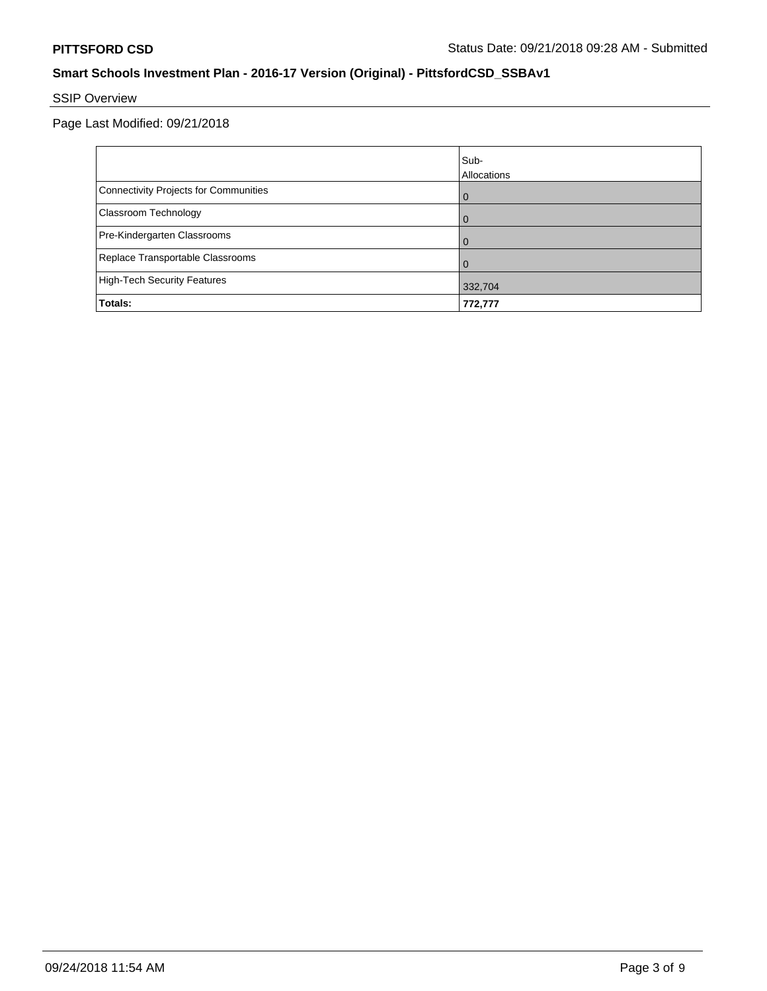# SSIP Overview

Page Last Modified: 09/21/2018

|                                       | Sub-<br>Allocations |
|---------------------------------------|---------------------|
| Connectivity Projects for Communities | $\Omega$            |
| <b>Classroom Technology</b>           | $\Omega$            |
| Pre-Kindergarten Classrooms           | $\Omega$            |
| Replace Transportable Classrooms      | $\Omega$            |
| High-Tech Security Features           | 332,704             |
| Totals:                               | 772,777             |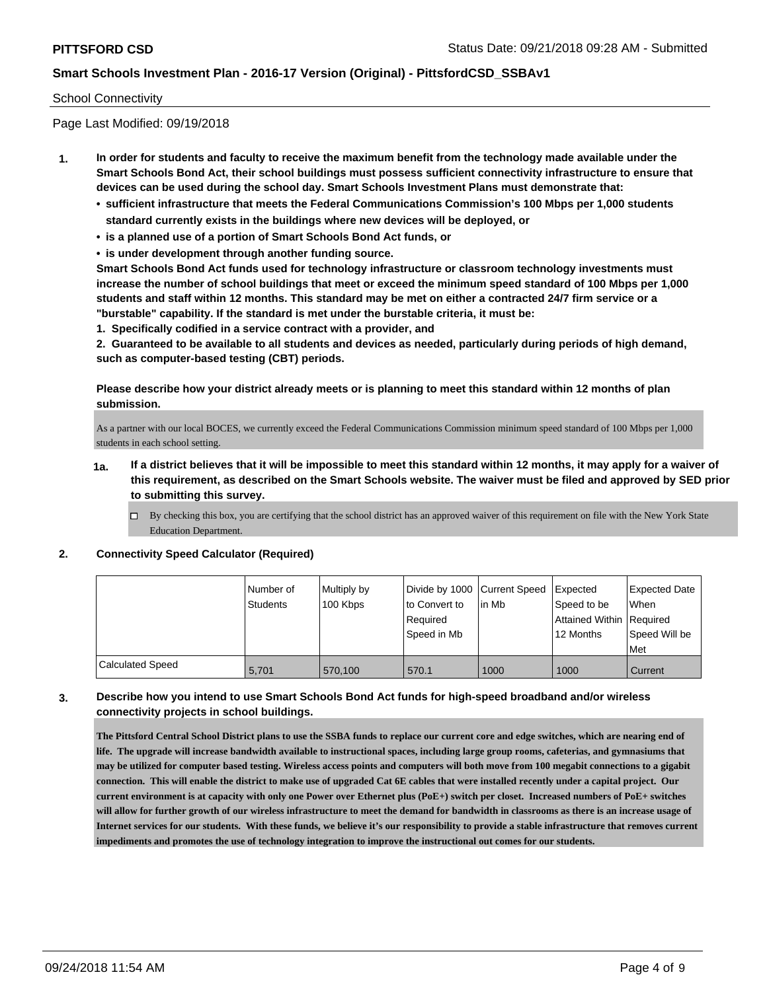#### School Connectivity

Page Last Modified: 09/19/2018

- **1. In order for students and faculty to receive the maximum benefit from the technology made available under the Smart Schools Bond Act, their school buildings must possess sufficient connectivity infrastructure to ensure that devices can be used during the school day. Smart Schools Investment Plans must demonstrate that:**
	- **• sufficient infrastructure that meets the Federal Communications Commission's 100 Mbps per 1,000 students standard currently exists in the buildings where new devices will be deployed, or**
	- **• is a planned use of a portion of Smart Schools Bond Act funds, or**
	- **• is under development through another funding source.**

**Smart Schools Bond Act funds used for technology infrastructure or classroom technology investments must increase the number of school buildings that meet or exceed the minimum speed standard of 100 Mbps per 1,000 students and staff within 12 months. This standard may be met on either a contracted 24/7 firm service or a "burstable" capability. If the standard is met under the burstable criteria, it must be:**

**1. Specifically codified in a service contract with a provider, and**

**2. Guaranteed to be available to all students and devices as needed, particularly during periods of high demand, such as computer-based testing (CBT) periods.**

**Please describe how your district already meets or is planning to meet this standard within 12 months of plan submission.**

As a partner with our local BOCES, we currently exceed the Federal Communications Commission minimum speed standard of 100 Mbps per 1,000 students in each school setting.

- **1a. If a district believes that it will be impossible to meet this standard within 12 months, it may apply for a waiver of this requirement, as described on the Smart Schools website. The waiver must be filed and approved by SED prior to submitting this survey.**
	- By checking this box, you are certifying that the school district has an approved waiver of this requirement on file with the New York State Education Department.

#### **2. Connectivity Speed Calculator (Required)**

|                         | Number of       | Multiply by | Divide by 1000 Current Speed |        | Expected                 | <b>Expected Date</b> |
|-------------------------|-----------------|-------------|------------------------------|--------|--------------------------|----------------------|
|                         | <b>Students</b> | 100 Kbps    | to Convert to                | lin Mb | Speed to be              | <b>When</b>          |
|                         |                 |             | Required                     |        | Attained Within Required |                      |
|                         |                 |             | l Speed in Mb                |        | 12 Months                | Speed Will be        |
|                         |                 |             |                              |        |                          | Met                  |
| <b>Calculated Speed</b> | 5.701           | 570.100     | 570.1                        | 1000   | 1000                     | Current              |

### **3. Describe how you intend to use Smart Schools Bond Act funds for high-speed broadband and/or wireless connectivity projects in school buildings.**

**The Pittsford Central School District plans to use the SSBA funds to replace our current core and edge switches, which are nearing end of life. The upgrade will increase bandwidth available to instructional spaces, including large group rooms, cafeterias, and gymnasiums that may be utilized for computer based testing. Wireless access points and computers will both move from 100 megabit connections to a gigabit connection. This will enable the district to make use of upgraded Cat 6E cables that were installed recently under a capital project. Our current environment is at capacity with only one Power over Ethernet plus (PoE+) switch per closet. Increased numbers of PoE+ switches will allow for further growth of our wireless infrastructure to meet the demand for bandwidth in classrooms as there is an increase usage of Internet services for our students. With these funds, we believe it's our responsibility to provide a stable infrastructure that removes current impediments and promotes the use of technology integration to improve the instructional out comes for our students.**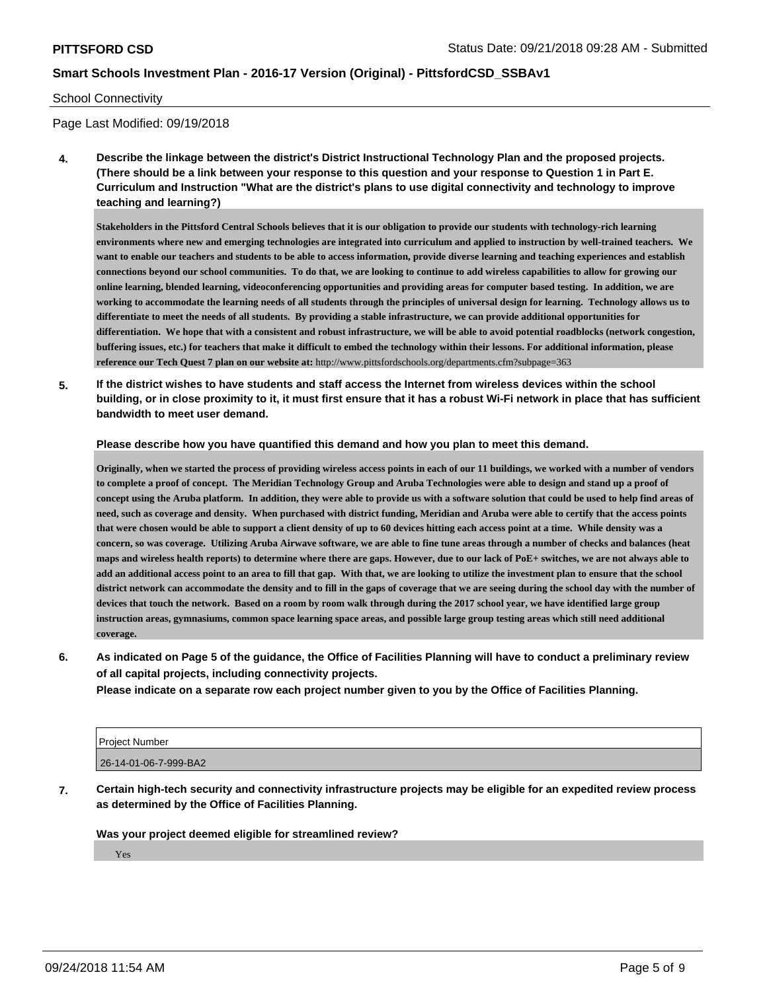#### School Connectivity

Page Last Modified: 09/19/2018

**4. Describe the linkage between the district's District Instructional Technology Plan and the proposed projects. (There should be a link between your response to this question and your response to Question 1 in Part E. Curriculum and Instruction "What are the district's plans to use digital connectivity and technology to improve teaching and learning?)**

**Stakeholders in the Pittsford Central Schools believes that it is our obligation to provide our students with technology-rich learning environments where new and emerging technologies are integrated into curriculum and applied to instruction by well-trained teachers. We want to enable our teachers and students to be able to access information, provide diverse learning and teaching experiences and establish connections beyond our school communities. To do that, we are looking to continue to add wireless capabilities to allow for growing our online learning, blended learning, videoconferencing opportunities and providing areas for computer based testing. In addition, we are working to accommodate the learning needs of all students through the principles of universal design for learning. Technology allows us to differentiate to meet the needs of all students. By providing a stable infrastructure, we can provide additional opportunities for differentiation. We hope that with a consistent and robust infrastructure, we will be able to avoid potential roadblocks (network congestion, buffering issues, etc.) for teachers that make it difficult to embed the technology within their lessons. For additional information, please reference our Tech Quest 7 plan on our website at:** http://www.pittsfordschools.org/departments.cfm?subpage=363

**5. If the district wishes to have students and staff access the Internet from wireless devices within the school building, or in close proximity to it, it must first ensure that it has a robust Wi-Fi network in place that has sufficient bandwidth to meet user demand.**

#### **Please describe how you have quantified this demand and how you plan to meet this demand.**

**Originally, when we started the process of providing wireless access points in each of our 11 buildings, we worked with a number of vendors to complete a proof of concept. The Meridian Technology Group and Aruba Technologies were able to design and stand up a proof of concept using the Aruba platform. In addition, they were able to provide us with a software solution that could be used to help find areas of need, such as coverage and density. When purchased with district funding, Meridian and Aruba were able to certify that the access points that were chosen would be able to support a client density of up to 60 devices hitting each access point at a time. While density was a concern, so was coverage. Utilizing Aruba Airwave software, we are able to fine tune areas through a number of checks and balances (heat maps and wireless health reports) to determine where there are gaps. However, due to our lack of PoE+ switches, we are not always able to add an additional access point to an area to fill that gap. With that, we are looking to utilize the investment plan to ensure that the school district network can accommodate the density and to fill in the gaps of coverage that we are seeing during the school day with the number of devices that touch the network. Based on a room by room walk through during the 2017 school year, we have identified large group instruction areas, gymnasiums, common space learning space areas, and possible large group testing areas which still need additional coverage.**

**6. As indicated on Page 5 of the guidance, the Office of Facilities Planning will have to conduct a preliminary review of all capital projects, including connectivity projects.**

**Please indicate on a separate row each project number given to you by the Office of Facilities Planning.**

| Project Number        |  |
|-----------------------|--|
| 26-14-01-06-7-999-BA2 |  |

**7. Certain high-tech security and connectivity infrastructure projects may be eligible for an expedited review process as determined by the Office of Facilities Planning.**

#### **Was your project deemed eligible for streamlined review?**

Yes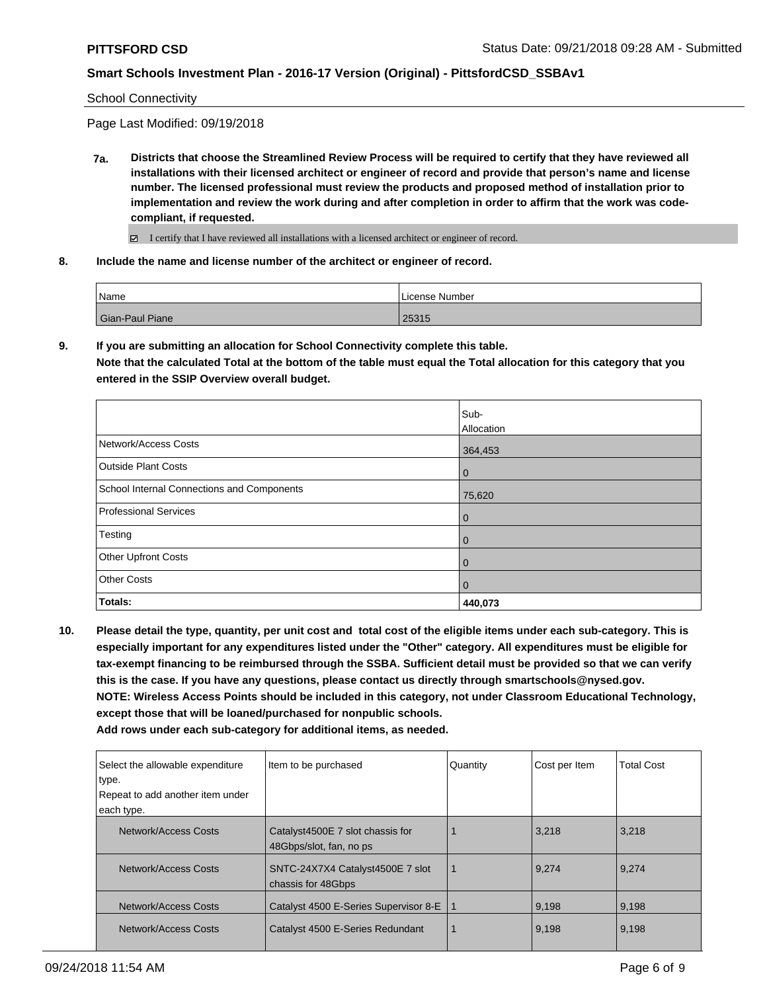School Connectivity

Page Last Modified: 09/19/2018

- **7a. Districts that choose the Streamlined Review Process will be required to certify that they have reviewed all installations with their licensed architect or engineer of record and provide that person's name and license number. The licensed professional must review the products and proposed method of installation prior to implementation and review the work during and after completion in order to affirm that the work was codecompliant, if requested.**
	- $\boxtimes$  I certify that I have reviewed all installations with a licensed architect or engineer of record.
- **8. Include the name and license number of the architect or engineer of record.**

| l Name          | License Number |
|-----------------|----------------|
| Gian-Paul Piane | 25315          |

**9. If you are submitting an allocation for School Connectivity complete this table.**

**Note that the calculated Total at the bottom of the table must equal the Total allocation for this category that you entered in the SSIP Overview overall budget.** 

|                                            | Sub-<br>Allocation |
|--------------------------------------------|--------------------|
|                                            |                    |
| Network/Access Costs                       | 364,453            |
| <b>Outside Plant Costs</b>                 | $\overline{0}$     |
| School Internal Connections and Components | 75,620             |
| <b>Professional Services</b>               | $\overline{0}$     |
| Testing                                    | $\overline{0}$     |
| <b>Other Upfront Costs</b>                 | $\mathbf 0$        |
| <b>Other Costs</b>                         | $\mathbf 0$        |
| <b>Totals:</b>                             | 440,073            |

**10. Please detail the type, quantity, per unit cost and total cost of the eligible items under each sub-category. This is especially important for any expenditures listed under the "Other" category. All expenditures must be eligible for tax-exempt financing to be reimbursed through the SSBA. Sufficient detail must be provided so that we can verify this is the case. If you have any questions, please contact us directly through smartschools@nysed.gov. NOTE: Wireless Access Points should be included in this category, not under Classroom Educational Technology, except those that will be loaned/purchased for nonpublic schools.**

**Add rows under each sub-category for additional items, as needed.**

| Select the allowable expenditure<br>type.<br>Repeat to add another item under | Item to be purchased                                        | Quantity | Cost per Item | <b>Total Cost</b> |
|-------------------------------------------------------------------------------|-------------------------------------------------------------|----------|---------------|-------------------|
| each type.                                                                    |                                                             |          |               |                   |
| Network/Access Costs                                                          | Catalyst4500E 7 slot chassis for<br>48Gbps/slot, fan, no ps |          | 3,218         | 3,218             |
| Network/Access Costs                                                          | SNTC-24X7X4 Catalyst4500E 7 slot<br>chassis for 48Gbps      |          | 9,274         | 9,274             |
| Network/Access Costs                                                          | Catalyst 4500 E-Series Supervisor 8-E                       |          | 9,198         | 9,198             |
| Network/Access Costs                                                          | Catalyst 4500 E-Series Redundant                            |          | 9,198         | 9,198             |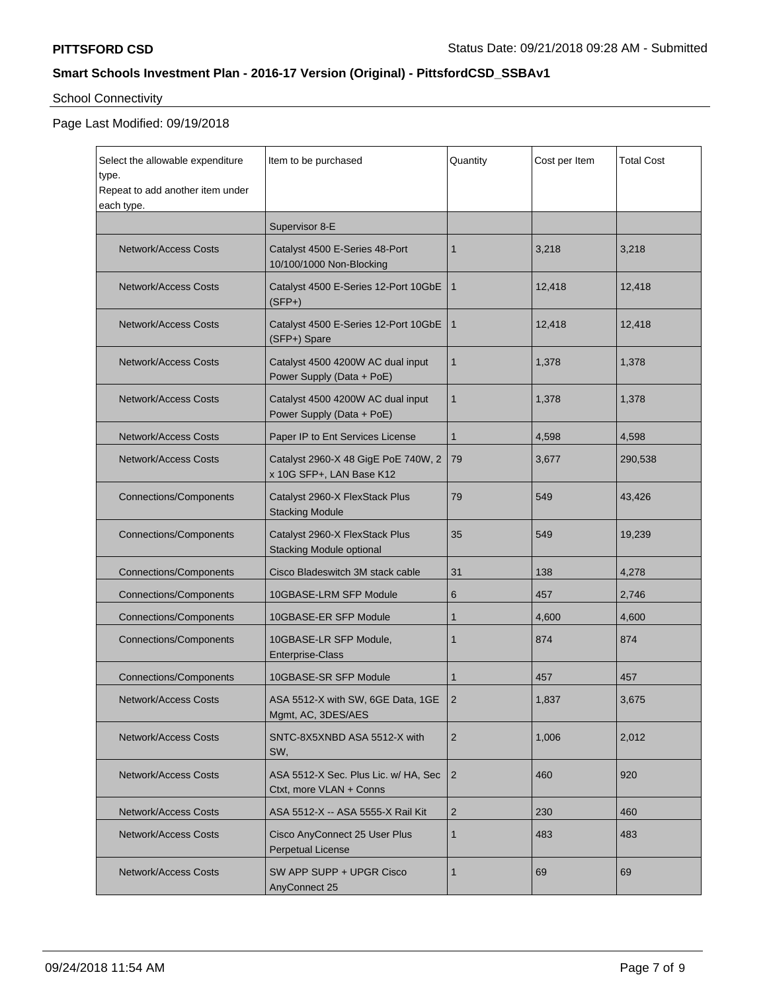# School Connectivity

# Page Last Modified: 09/19/2018

| Select the allowable expenditure<br>type.<br>Repeat to add another item under<br>each type. | Item to be purchased                                              | Quantity       | Cost per Item | <b>Total Cost</b> |
|---------------------------------------------------------------------------------------------|-------------------------------------------------------------------|----------------|---------------|-------------------|
|                                                                                             | Supervisor 8-E                                                    |                |               |                   |
| <b>Network/Access Costs</b>                                                                 | Catalyst 4500 E-Series 48-Port<br>10/100/1000 Non-Blocking        | 1              | 3,218         | 3,218             |
| <b>Network/Access Costs</b>                                                                 | Catalyst 4500 E-Series 12-Port 10GbE<br>$(SFP+)$                  | $\mathbf{1}$   | 12,418        | 12,418            |
| <b>Network/Access Costs</b>                                                                 | Catalyst 4500 E-Series 12-Port 10GbE<br>(SFP+) Spare              | $\mathbf{1}$   | 12,418        | 12,418            |
| <b>Network/Access Costs</b>                                                                 | Catalyst 4500 4200W AC dual input<br>Power Supply (Data + PoE)    | 1              | 1,378         | 1,378             |
| <b>Network/Access Costs</b>                                                                 | Catalyst 4500 4200W AC dual input<br>Power Supply (Data + PoE)    | 1              | 1,378         | 1,378             |
| Network/Access Costs                                                                        | Paper IP to Ent Services License                                  | 1              | 4,598         | 4,598             |
| Network/Access Costs                                                                        | Catalyst 2960-X 48 GigE PoE 740W, 2<br>x 10G SFP+, LAN Base K12   | 79             | 3,677         | 290,538           |
| <b>Connections/Components</b>                                                               | Catalyst 2960-X FlexStack Plus<br><b>Stacking Module</b>          | 79             | 549           | 43,426            |
| <b>Connections/Components</b>                                                               | Catalyst 2960-X FlexStack Plus<br><b>Stacking Module optional</b> | 35             | 549           | 19,239            |
| <b>Connections/Components</b>                                                               | Cisco Bladeswitch 3M stack cable                                  | 31             | 138           | 4,278             |
| <b>Connections/Components</b>                                                               | 10GBASE-LRM SFP Module                                            | 6              | 457           | 2,746             |
| <b>Connections/Components</b>                                                               | 10GBASE-ER SFP Module                                             | 1              | 4,600         | 4,600             |
| <b>Connections/Components</b>                                                               | 10GBASE-LR SFP Module,<br>Enterprise-Class                        | 1              | 874           | 874               |
| <b>Connections/Components</b>                                                               | 10GBASE-SR SFP Module                                             | 1              | 457           | 457               |
| <b>Network/Access Costs</b>                                                                 | ASA 5512-X with SW, 6GE Data, 1GE<br>Mgmt, AC, 3DES/AES           | $\overline{2}$ | 1,837         | 3,675             |
| <b>Network/Access Costs</b>                                                                 | SNTC-8X5XNBD ASA 5512-X with<br>SW,                               | 2              | 1,006         | 2,012             |
| <b>Network/Access Costs</b>                                                                 | ASA 5512-X Sec. Plus Lic. w/ HA, Sec<br>Ctxt, more VLAN + Conns   | $\overline{2}$ | 460           | 920               |
| Network/Access Costs                                                                        | ASA 5512-X -- ASA 5555-X Rail Kit                                 | 2              | 230           | 460               |
| <b>Network/Access Costs</b>                                                                 | Cisco AnyConnect 25 User Plus<br>Perpetual License                | 1              | 483           | 483               |
| <b>Network/Access Costs</b>                                                                 | SW APP SUPP + UPGR Cisco<br>AnyConnect 25                         | 1              | 69            | 69                |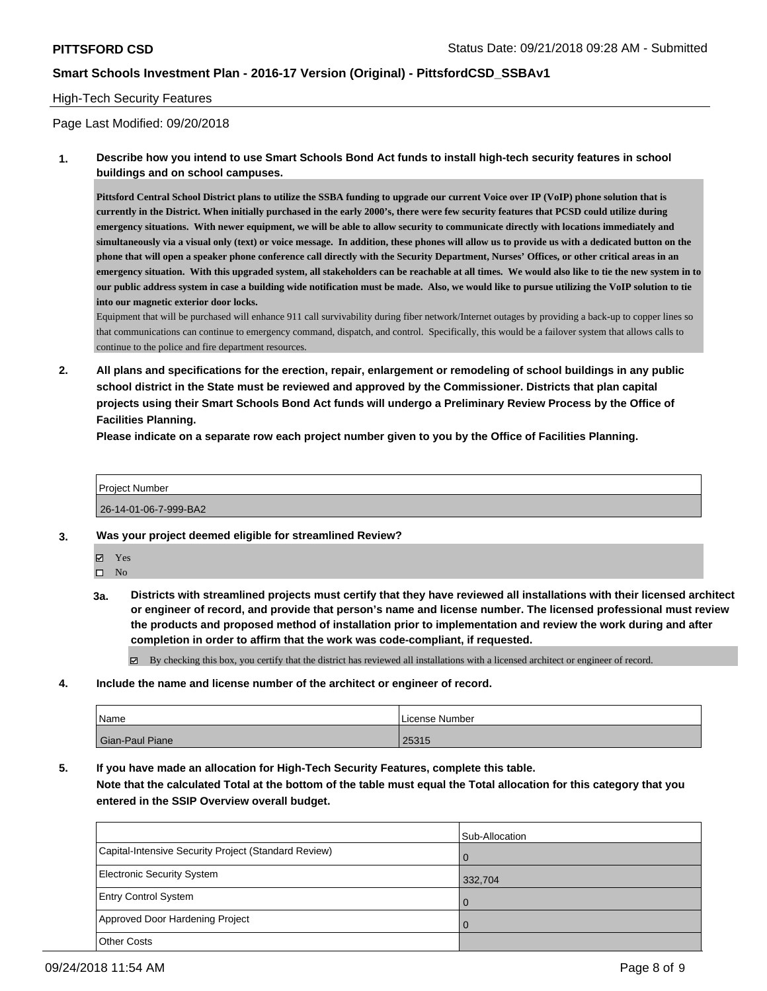#### High-Tech Security Features

Page Last Modified: 09/20/2018

**1. Describe how you intend to use Smart Schools Bond Act funds to install high-tech security features in school buildings and on school campuses.**

**Pittsford Central School District plans to utilize the SSBA funding to upgrade our current Voice over IP (VoIP) phone solution that is currently in the District. When initially purchased in the early 2000's, there were few security features that PCSD could utilize during emergency situations. With newer equipment, we will be able to allow security to communicate directly with locations immediately and simultaneously via a visual only (text) or voice message. In addition, these phones will allow us to provide us with a dedicated button on the phone that will open a speaker phone conference call directly with the Security Department, Nurses' Offices, or other critical areas in an emergency situation. With this upgraded system, all stakeholders can be reachable at all times. We would also like to tie the new system in to our public address system in case a building wide notification must be made. Also, we would like to pursue utilizing the VoIP solution to tie into our magnetic exterior door locks.** 

Equipment that will be purchased will enhance 911 call survivability during fiber network/Internet outages by providing a back-up to copper lines so that communications can continue to emergency command, dispatch, and control. Specifically, this would be a failover system that allows calls to continue to the police and fire department resources.

**2. All plans and specifications for the erection, repair, enlargement or remodeling of school buildings in any public school district in the State must be reviewed and approved by the Commissioner. Districts that plan capital projects using their Smart Schools Bond Act funds will undergo a Preliminary Review Process by the Office of Facilities Planning.** 

**Please indicate on a separate row each project number given to you by the Office of Facilities Planning.**

Project Number

26-14-01-06-7-999-BA2

- **3. Was your project deemed eligible for streamlined Review?**
	- Yes

 $\square$  No

**3a. Districts with streamlined projects must certify that they have reviewed all installations with their licensed architect or engineer of record, and provide that person's name and license number. The licensed professional must review the products and proposed method of installation prior to implementation and review the work during and after completion in order to affirm that the work was code-compliant, if requested.**

By checking this box, you certify that the district has reviewed all installations with a licensed architect or engineer of record.

**4. Include the name and license number of the architect or engineer of record.**

| Name                   | License Number |
|------------------------|----------------|
| <b>Gian-Paul Piane</b> | 25315          |

**5. If you have made an allocation for High-Tech Security Features, complete this table.**

**Note that the calculated Total at the bottom of the table must equal the Total allocation for this category that you entered in the SSIP Overview overall budget.**

|                                                      | Sub-Allocation |
|------------------------------------------------------|----------------|
| Capital-Intensive Security Project (Standard Review) | $\Omega$       |
| <b>Electronic Security System</b>                    | 332,704        |
| <b>Entry Control System</b>                          | $\Omega$       |
| Approved Door Hardening Project                      |                |
| <b>Other Costs</b>                                   |                |